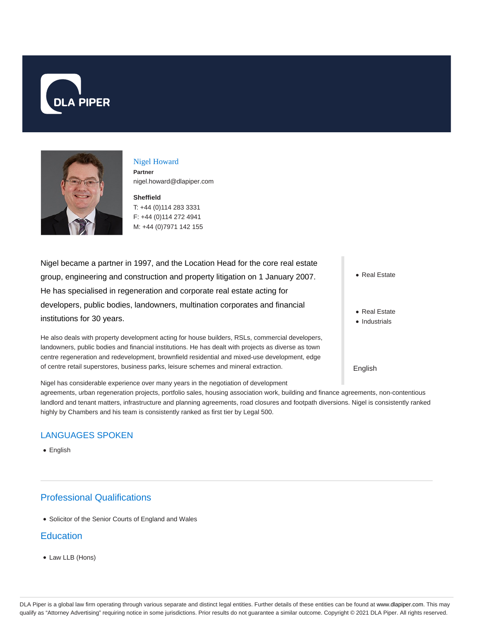



#### Nigel Howard **Partner** nigel.howard@dlapiper.com

**Sheffield** T: +44 (0)114 283 3331 F: +44 (0)114 272 4941 M: +44 (0)7971 142 155

Nigel became a partner in 1997, and the Location Head for the core real estate group, engineering and construction and property litigation on 1 January 2007. He has specialised in regeneration and corporate real estate acting for developers, public bodies, landowners, multination corporates and financial institutions for 30 years.

He also deals with property development acting for house builders, RSLs, commercial developers, landowners, public bodies and financial institutions. He has dealt with projects as diverse as town centre regeneration and redevelopment, brownfield residential and mixed-use development, edge of centre retail superstores, business parks, leisure schemes and mineral extraction.

• Real Estate

- Real Estate
- Industrials

English

Nigel has considerable experience over many years in the negotiation of development agreements, urban regeneration projects, portfolio sales, housing association work, building and finance agreements, non-contentious landlord and tenant matters, infrastructure and planning agreements, road closures and footpath diversions. Nigel is consistently ranked highly by Chambers and his team is consistently ranked as first tier by Legal 500.

## LANGUAGES SPOKEN

• English

# Professional Qualifications

Solicitor of the Senior Courts of England and Wales

## **Education**

Law LLB (Hons)

DLA Piper is a global law firm operating through various separate and distinct legal entities. Further details of these entities can be found at www.dlapiper.com. This may qualify as "Attorney Advertising" requiring notice in some jurisdictions. Prior results do not guarantee a similar outcome. Copyright @ 2021 DLA Piper. All rights reserved.